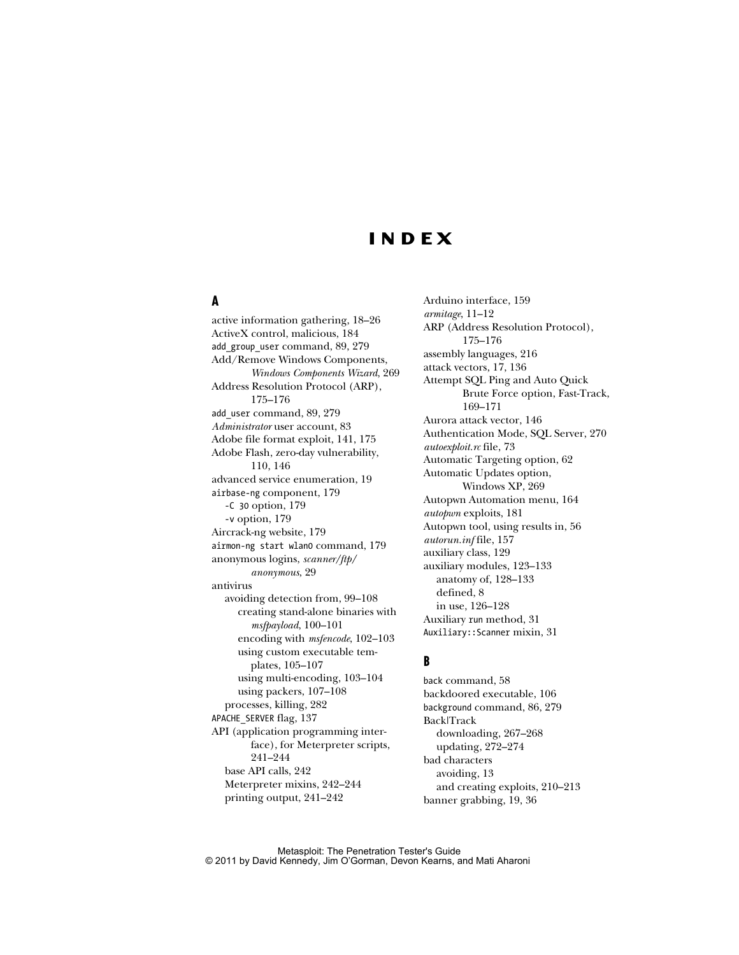# **INDEX**

#### **A**

active information gathering, 18–26 ActiveX control, malicious, 184 add group user command, 89, 279 Add/Remove Windows Components, *Windows Components Wizard*, 269 Address Resolution Protocol (ARP), 175–176 add\_user command, 89, 279 *Administrator* user account, 83 Adobe file format exploit, 141, 175 Adobe Flash, zero-day vulnerability, 110, 146 advanced service enumeration, 19 airbase-ng component, 179 -C 30 option, 179 -v option, 179 Aircrack-ng website, 179 airmon-ng start wlan0 command, 179 anonymous logins, *scanner/ftp/ anonymous*, 29 antivirus avoiding detection from, 99–108 creating stand-alone binaries with *msfpayload*, 100–101 encoding with *msfencode*, 102–103 using custom executable templates, 105–107 using multi-encoding, 103–104 using packers, 107–108 processes, killing, 282 APACHE\_SERVER flag, 137 API (application programming interface), for Meterpreter scripts, 241–244 base API calls, 242 Meterpreter mixins, 242–244 printing output, 241–242

Arduino interface, 159 *armitage*, 11–12 ARP (Address Resolution Protocol), 175–176 assembly languages, 216 attack vectors, 17, 136 Attempt SQL Ping and Auto Quick Brute Force option, Fast-Track, 169–171 Aurora attack vector, 146 Authentication Mode, SQL Server, 270 *autoexploit.rc* file, 73 Automatic Targeting option, 62 Automatic Updates option, Windows XP, 269 Autopwn Automation menu, 164 *autopwn* exploits, 181 Autopwn tool, using results in, 56 *autorun.inf* file, 157 auxiliary class, 129 auxiliary modules, 123–133 anatomy of, 128–133 defined, 8 in use, 126–128 Auxiliary run method, 31 Auxiliary::Scanner mixin, 31

#### **B**

back command, 58 backdoored executable, 106 background command, 86, 279 Back|Track downloading, 267–268 updating, 272–274 bad characters avoiding, 13 and creating exploits, 210–213 banner grabbing, 19, 36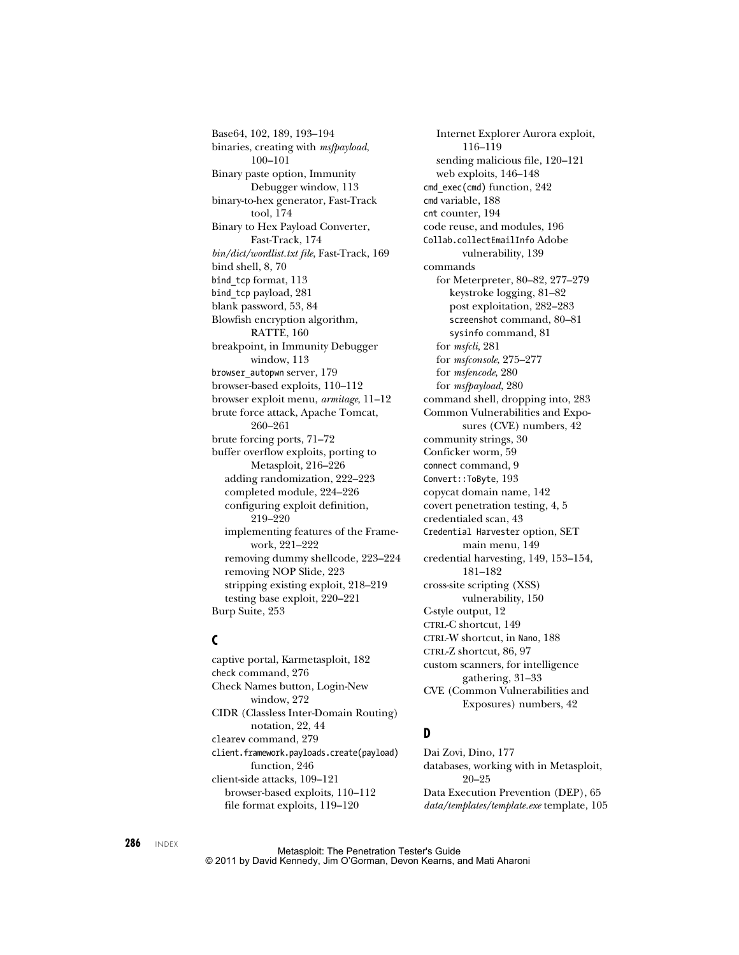Base64, 102, 189, 193–194 binaries, creating with *msfpayload*, 100–101 Binary paste option, Immunity Debugger window, 113 binary-to-hex generator, Fast-Track tool, 174 Binary to Hex Payload Converter, Fast-Track, 174 *bin/dict/wordlist.txt file*, Fast-Track, 169 bind shell, 8, 70 bind tcp format, 113 bind\_tcp payload, 281 blank password, 53, 84 Blowfish encryption algorithm, RATTE, 160 breakpoint, in Immunity Debugger window, 113 browser\_autopwn server, 179 browser-based exploits, 110–112 browser exploit menu, *armitage*, 11–12 brute force attack, Apache Tomcat, 260–261 brute forcing ports, 71–72 buffer overflow exploits, porting to Metasploit, 216–226 adding randomization, 222–223 completed module, 224–226 configuring exploit definition, 219–220 implementing features of the Framework, 221–222 removing dummy shellcode, 223–224 removing NOP Slide, 223 stripping existing exploit, 218–219 testing base exploit, 220–221 Burp Suite, 253

## **C**

captive portal, Karmetasploit, 182 check command, 276 Check Names button, Login-New window, 272 CIDR (Classless Inter-Domain Routing) notation, 22, 44 clearev command, 279 client.framework.payloads.create(payload) function, 246 client-side attacks, 109–121 browser-based exploits, 110–112 file format exploits, 119–120

Internet Explorer Aurora exploit, 116–119 sending malicious file, 120–121 web exploits, 146–148 cmd\_exec(cmd) function, 242 cmd variable, 188 cnt counter, 194 code reuse, and modules, 196 Collab.collectEmailInfo Adobe vulnerability, 139 commands for Meterpreter, 80–82, 277–279 keystroke logging, 81–82 post exploitation, 282–283 screenshot command, 80–81 sysinfo command, 81 for *msfcli*, 281 for *msfconsole*, 275–277 for *msfencode*, 280 for *msfpayload*, 280 command shell, dropping into, 283 Common Vulnerabilities and Exposures (CVE) numbers, 42 community strings, 30 Conficker worm, 59 connect command, 9 Convert::ToByte, 193 copycat domain name, 142 covert penetration testing, 4, 5 credentialed scan, 43 Credential Harvester option, SET main menu, 149 credential harvesting, 149, 153–154, 181–182 cross-site scripting (XSS) vulnerability, 150 C-style output, 12 CTRL-C shortcut, 149 CTRL-W shortcut, in Nano, 188 CTRL-Z shortcut, 86, 97 custom scanners, for intelligence gathering, 31–33 CVE (Common Vulnerabilities and Exposures) numbers, 42

## **D**

Dai Zovi, Dino, 177 databases, working with in Metasploit, 20–25 Data Execution Prevention (DEP), 65 *data/templates/template.exe* template, 105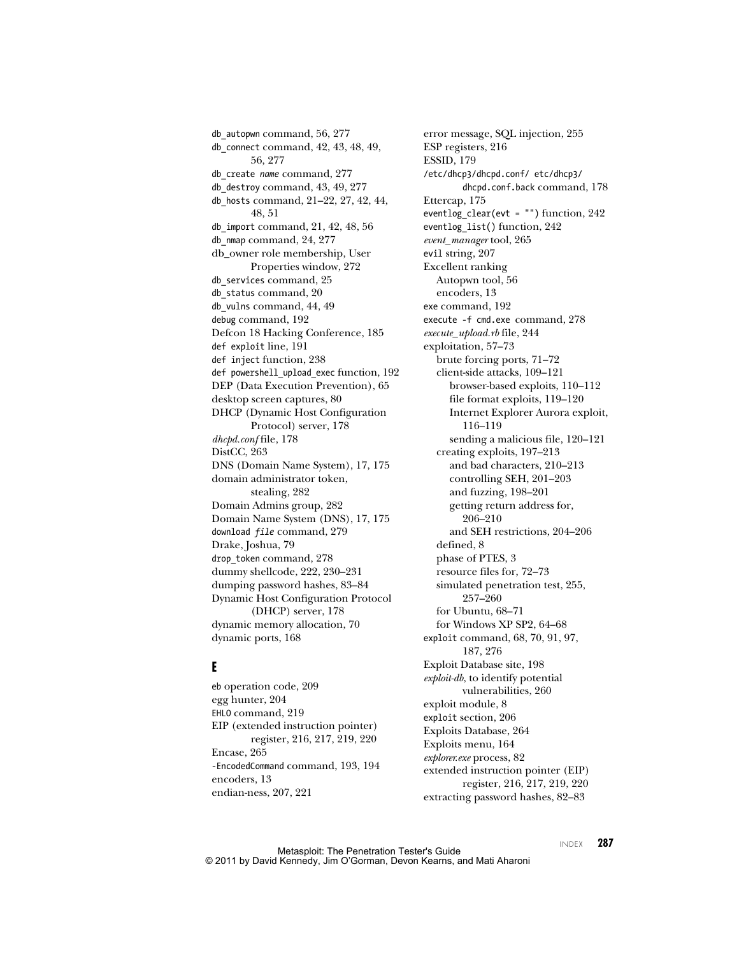db\_autopwn command, 56, 277 db\_connect command, 42, 43, 48, 49, 56, 277 db\_create *name* command, 277 db\_destroy command, 43, 49, 277 db\_hosts command, 21–22, 27, 42, 44, 48, 51 db\_import command, 21, 42, 48, 56 db\_nmap command, 24, 277 db\_owner role membership, User Properties window, 272 db\_services command, 25 db\_status command, 20 db\_vulns command, 44, 49 debug command, 192 Defcon 18 Hacking Conference, 185 def exploit line, 191 def inject function, 238 def powershell upload exec function, 192 DEP (Data Execution Prevention), 65 desktop screen captures, 80 DHCP (Dynamic Host Configuration Protocol) server, 178 *dhcpd.conf* file, 178 DistCC, 263 DNS (Domain Name System), 17, 175 domain administrator token, stealing, 282 Domain Admins group, 282 Domain Name System (DNS), 17, 175 download *file* command, 279 Drake, Joshua, 79 drop\_token command, 278 dummy shellcode, 222, 230–231 dumping password hashes, 83–84 Dynamic Host Configuration Protocol (DHCP) server, 178 dynamic memory allocation, 70 dynamic ports, 168

## **E**

eb operation code, 209 egg hunter, 204 EHLO command, 219 EIP (extended instruction pointer) register, 216, 217, 219, 220 Encase, 265 -EncodedCommand command, 193, 194 encoders, 13 endian-ness, 207, 221

error message, SQL injection, 255 ESP registers, 216 ESSID, 179 /etc/dhcp3/dhcpd.conf/ etc/dhcp3/ dhcpd.conf.back command, 178 Ettercap, 175 eventlog clear(evt = "") function, 242 eventlog\_list() function, 242 *event\_manager* tool, 265 evil string, 207 Excellent ranking Autopwn tool, 56 encoders, 13 exe command, 192 execute -f cmd.exe command, 278 *execute\_upload.rb* file, 244 exploitation, 57–73 brute forcing ports, 71–72 client-side attacks, 109–121 browser-based exploits, 110–112 file format exploits, 119–120 Internet Explorer Aurora exploit, 116–119 sending a malicious file, 120–121 creating exploits, 197–213 and bad characters, 210–213 controlling SEH, 201–203 and fuzzing, 198–201 getting return address for, 206–210 and SEH restrictions, 204–206 defined, 8 phase of PTES, 3 resource files for, 72–73 simulated penetration test, 255, 257–260 for Ubuntu, 68–71 for Windows XP SP2, 64–68 exploit command, 68, 70, 91, 97, 187, 276 Exploit Database site, 198 *exploit-db*, to identify potential vulnerabilities, 260 exploit module, 8 exploit section, 206 Exploits Database, 264 Exploits menu, 164 *explorer.exe* process, 82 extended instruction pointer (EIP) register, 216, 217, 219, 220 extracting password hashes, 82–83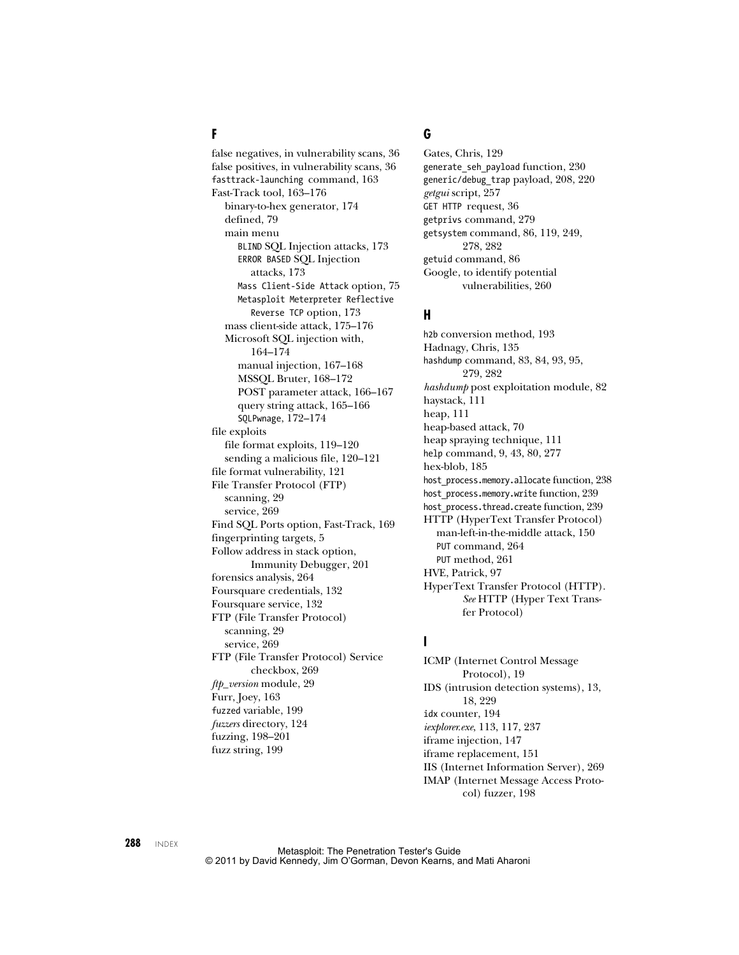### **F**

false negatives, in vulnerability scans, 36 false positives, in vulnerability scans, 36 fasttrack-launching command, 163 Fast-Track tool, 163–176 binary-to-hex generator, 174 defined, 79 main menu BLIND SQL Injection attacks, 173 ERROR BASED SQL Injection attacks, 173 Mass Client-Side Attack option, 75 Metasploit Meterpreter Reflective Reverse TCP option, 173 mass client-side attack, 175–176 Microsoft SQL injection with, 164–174 manual injection, 167–168 MSSQL Bruter, 168–172 POST parameter attack, 166–167 query string attack, 165–166 SQLPwnage, 172–174 file exploits file format exploits, 119–120 sending a malicious file, 120–121 file format vulnerability, 121 File Transfer Protocol (FTP) scanning, 29 service, 269 Find SQL Ports option, Fast-Track, 169 fingerprinting targets, 5 Follow address in stack option, Immunity Debugger, 201 forensics analysis, 264 Foursquare credentials, 132 Foursquare service, 132 FTP (File Transfer Protocol) scanning, 29 service, 269 FTP (File Transfer Protocol) Service checkbox, 269 *ftp\_version* module, 29 Furr, Joey, 163 fuzzed variable, 199 *fuzzers* directory, 124 fuzzing, 198–201 fuzz string, 199

### **G**

Gates, Chris, 129 generate seh payload function, 230 generic/debug\_trap payload, 208, 220 *getgui* script, 257 GET HTTP request, 36 getprivs command, 279 getsystem command, 86, 119, 249, 278, 282 getuid command, 86 Google, to identify potential vulnerabilities, 260

## **H**

h2b conversion method, 193 Hadnagy, Chris, 135 hashdump command, 83, 84, 93, 95, 279, 282 *hashdump* post exploitation module, 82 haystack, 111 heap, 111 heap-based attack, 70 heap spraying technique, 111 help command, 9, 43, 80, 277 hex-blob, 185 host process.memory.allocate function, 238 host process.memory.write function, 239 host process.thread.create function, 239 HTTP (HyperText Transfer Protocol) man-left-in-the-middle attack, 150 PUT command, 264 PUT method, 261 HVE, Patrick, 97 HyperText Transfer Protocol (HTTP). *See* HTTP (Hyper Text Transfer Protocol)

## **I**

ICMP (Internet Control Message Protocol), 19 IDS (intrusion detection systems), 13, 18, 229 idx counter, 194 *iexplorer.exe*, 113, 117, 237 iframe injection, 147 iframe replacement, 151 IIS (Internet Information Server), 269 IMAP (Internet Message Access Protocol) fuzzer, 198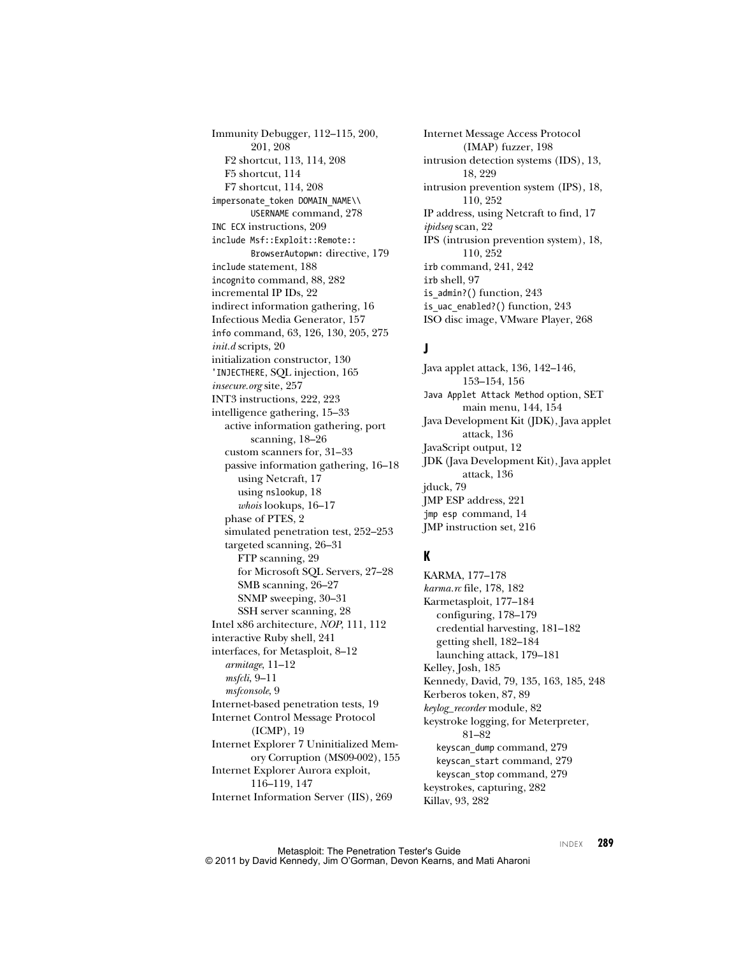Immunity Debugger, 112–115, 200, 201, 208 F2 shortcut, 113, 114, 208 F5 shortcut, 114 F7 shortcut, 114, 208 impersonate\_token DOMAIN\_NAME\\ USERNAME command, 278 INC ECX instructions, 209 include Msf::Exploit::Remote:: BrowserAutopwn: directive, 179 include statement, 188 incognito command, 88, 282 incremental IP IDs, 22 indirect information gathering, 16 Infectious Media Generator, 157 info command, 63, 126, 130, 205, 275 *init.d* scripts, 20 initialization constructor, 130 'INJECTHERE, SQL injection, 165 *insecure.org* site, 257 INT3 instructions, 222, 223 intelligence gathering, 15–33 active information gathering, port scanning, 18–26 custom scanners for, 31–33 passive information gathering, 16–18 using Netcraft, 17 using nslookup, 18 *whois* lookups, 16–17 phase of PTES, 2 simulated penetration test, 252–253 targeted scanning, 26–31 FTP scanning, 29 for Microsoft SQL Servers, 27–28 SMB scanning, 26–27 SNMP sweeping, 30–31 SSH server scanning, 28 Intel x86 architecture, *NOP*, 111, 112 interactive Ruby shell, 241 interfaces, for Metasploit, 8–12 *armitage*, 11–12 *msfcli*, 9–11 *msfconsole*, 9 Internet-based penetration tests, 19 Internet Control Message Protocol (ICMP), 19 Internet Explorer 7 Uninitialized Memory Corruption (MS09-002), 155 Internet Explorer Aurora exploit, 116–119, 147 Internet Information Server (IIS), 269

Internet Message Access Protocol (IMAP) fuzzer, 198 intrusion detection systems (IDS), 13, 18, 229 intrusion prevention system (IPS), 18, 110, 252 IP address, using Netcraft to find, 17 *ipidseq* scan, 22 IPS (intrusion prevention system), 18, 110, 252 irb command, 241, 242 irb shell, 97 is admin?() function, 243 is uac enabled?() function, 243 ISO disc image, VMware Player, 268

# **J**

Java applet attack, 136, 142–146, 153–154, 156 Java Applet Attack Method option, SET main menu, 144, 154 Java Development Kit (JDK), Java applet attack, 136 JavaScript output, 12 JDK (Java Development Kit), Java applet attack, 136 jduck, 79 JMP ESP address, 221 jmp esp command, 14 JMP instruction set, 216

## **K**

KARMA, 177–178 *karma.rc* file, 178, 182 Karmetasploit, 177–184 configuring, 178–179 credential harvesting, 181–182 getting shell, 182–184 launching attack, 179–181 Kelley, Josh, 185 Kennedy, David, 79, 135, 163, 185, 248 Kerberos token, 87, 89 *keylog\_recorder* module, 82 keystroke logging, for Meterpreter, 81–82 keyscan\_dump command, 279 keyscan\_start command, 279 keyscan\_stop command, 279 keystrokes, capturing, 282 Killav, 93, 282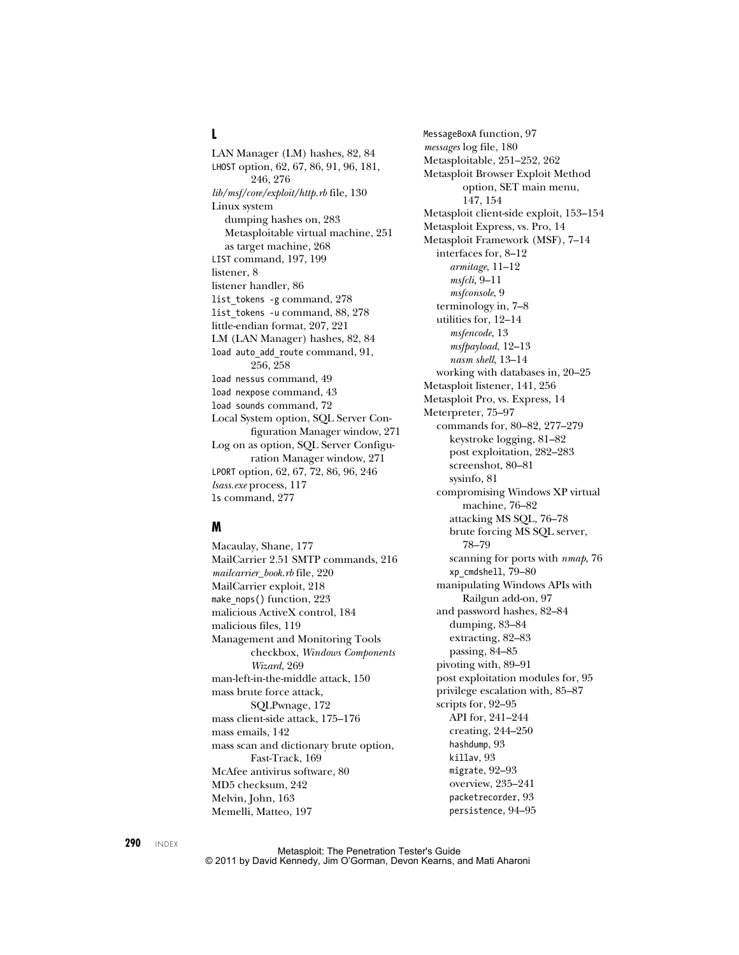## **L**

LAN Manager (LM) hashes, 82, 84 LHOST option, 62, 67, 86, 91, 96, 181, 246, 276 *lib/msf/core/exploit/http.rb* file, 130 Linux system dumping hashes on, 283 Metasploitable virtual machine, 251 as target machine, 268 LIST command, 197, 199 listener, 8 listener handler, 86 list\_tokens -g command, 278 list tokens -u command, 88, 278 little-endian format, 207, 221 LM (LAN Manager) hashes, 82, 84 load auto add route command, 91, 256, 258 load nessus command, 49 load nexpose command, 43 load sounds command, 72 Local System option, SQL Server Configuration Manager window, 271 Log on as option, SQL Server Configuration Manager window, 271 LPORT option, 62, 67, 72, 86, 96, 246 *lsass.exe* process, 117 ls command, 277

### **M**

Macaulay, Shane, 177 MailCarrier 2.51 SMTP commands, 216 *mailcarrier\_book.rb* file, 220 MailCarrier exploit, 218 make\_nops() function, 223 malicious ActiveX control, 184 malicious files, 119 Management and Monitoring Tools checkbox, *Windows Components Wizard*, 269 man-left-in-the-middle attack, 150 mass brute force attack, SQLPwnage, 172 mass client-side attack, 175–176 mass emails, 142 mass scan and dictionary brute option, Fast-Track, 169 McAfee antivirus software, 80 MD5 checksum, 242 Melvin, John, 163 Memelli, Matteo, 197

MessageBoxA function, 97 *messages* log file, 180 Metasploitable, 251–252, 262 Metasploit Browser Exploit Method option, SET main menu, 147, 154 Metasploit client-side exploit, 153–154 Metasploit Express, vs. Pro, 14 Metasploit Framework (MSF), 7–14 interfaces for, 8–12 *armitage*, 11–12 *msfcli*, 9–11 *msfconsole*, 9 terminology in, 7–8 utilities for, 12–14 *msfencode*, 13 *msfpayload*, 12–13 *nasm shell*, 13–14 working with databases in, 20–25 Metasploit listener, 141, 256 Metasploit Pro, vs. Express, 14 Meterpreter, 75–97 commands for, 80–82, 277–279 keystroke logging, 81–82 post exploitation, 282–283 screenshot, 80–81 sysinfo, 81 compromising Windows XP virtual machine, 76–82 attacking MS SQL, 76–78 brute forcing MS SQL server, 78–79 scanning for ports with *nmap*, 76 xp\_cmdshell, 79–80 manipulating Windows APIs with Railgun add-on, 97 and password hashes, 82–84 dumping, 83–84 extracting, 82–83 passing, 84–85 pivoting with, 89–91 post exploitation modules for, 95 privilege escalation with, 85–87 scripts for, 92–95 API for, 241–244 creating, 244–250 hashdump, 93 killav, 93 migrate, 92–93 overview, 235–241 packetrecorder, 93 persistence, 94–95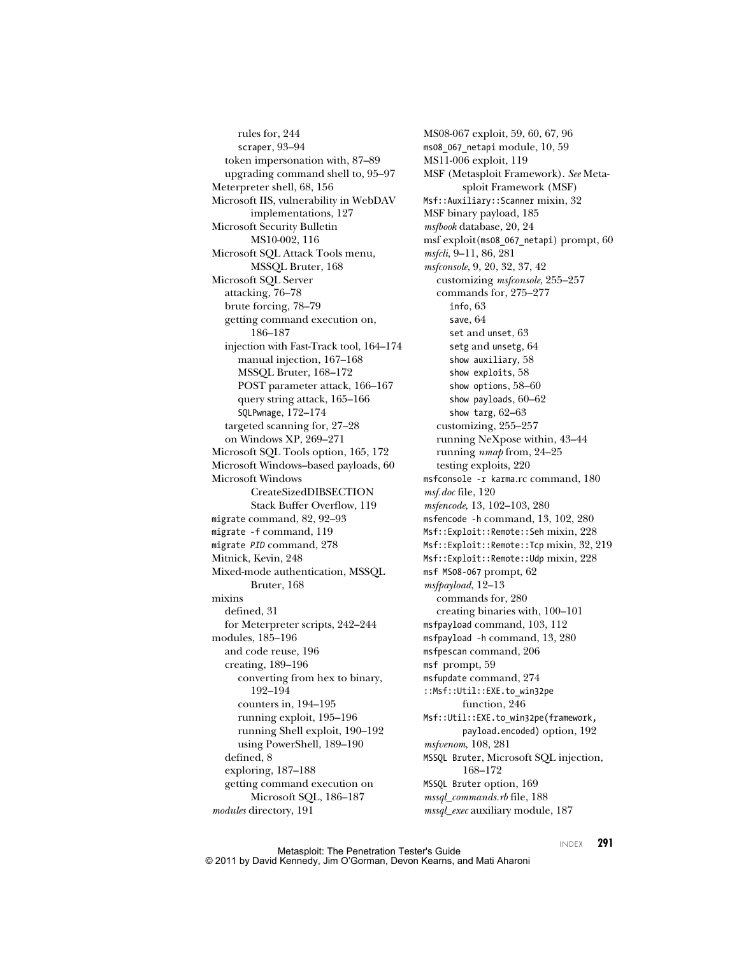rules for, 244 scraper, 93–94 token impersonation with, 87–89 upgrading command shell to, 95–97 Meterpreter shell, 68, 156 Microsoft IIS, vulnerability in WebDAV implementations, 127 Microsoft Security Bulletin MS10-002, 116 Microsoft SQL Attack Tools menu, MSSQL Bruter, 168 Microsoft SQL Server attacking, 76–78 brute forcing, 78–79 getting command execution on, 186–187 injection with Fast-Track tool, 164–174 manual injection, 167–168 MSSQL Bruter, 168–172 POST parameter attack, 166–167 query string attack, 165–166 SQLPwnage, 172–174 targeted scanning for, 27–28 on Windows XP, 269–271 Microsoft SQL Tools option, 165, 172 Microsoft Windows–based payloads, 60 Microsoft Windows CreateSizedDIBSECTION Stack Buffer Overflow, 119 migrate command, 82, 92–93 migrate -f command, 119 migrate *PID* command, 278 Mitnick, Kevin, 248 Mixed-mode authentication, MSSQL Bruter, 168 mixins defined, 31 for Meterpreter scripts, 242–244 modules, 185–196 and code reuse, 196 creating, 189–196 converting from hex to binary, 192–194 counters in, 194–195 running exploit, 195–196 running Shell exploit, 190–192 using PowerShell, 189–190 defined, 8 exploring, 187–188 getting command execution on Microsoft SQL, 186–187 *modules* directory, 191

MS08-067 exploit, 59, 60, 67, 96 ms08\_067\_netapi module, 10, 59 MS11-006 exploit, 119 MSF (Metasploit Framework). *See* Metasploit Framework (MSF) Msf::Auxiliary::Scanner mixin, 32 MSF binary payload, 185 *msfbook* database, 20, 24 msf exploit(ms08\_067\_netapi) prompt, 60 *msfcli*, 9–11, 86, 281 *msfconsole*, 9, 20, 32, 37, 42 customizing *msfconsole*, 255–257 commands for, 275–277 info, 63 save, 64 set and unset, 63 setg and unsetg, 64 show auxiliary, 58 show exploits, 58 show options, 58–60 show payloads, 60–62 show targ, 62–63 customizing, 255–257 running NeXpose within, 43–44 running *nmap* from, 24–25 testing exploits, 220 msfconsole -r karma.rc command, 180 *msf.doc* file, 120 *msfencode*, 13, 102–103, 280 msfencode -h command, 13, 102, 280 Msf::Exploit::Remote::Seh mixin, 228 Msf::Exploit::Remote::Tcp mixin, 32, 219 Msf::Exploit::Remote::Udp mixin, 228 msf MS08-067 prompt, 62 *msfpayload*, 12–13 commands for, 280 creating binaries with, 100–101 msfpayload command, 103, 112 msfpayload -h command, 13, 280 msfpescan command, 206 msf prompt, 59 msfupdate command, 274 ::Msf::Util::EXE.to\_win32pe function, 246 Msf::Util::EXE.to win32pe(framework, payload.encoded) option, 192 *msfvenom*, 108, 281 MSSQL Bruter, Microsoft SQL injection, 168–172 MSSQL Bruter option, 169 *mssql\_commands.rb* file, 188 *mssql\_exec* auxiliary module, 187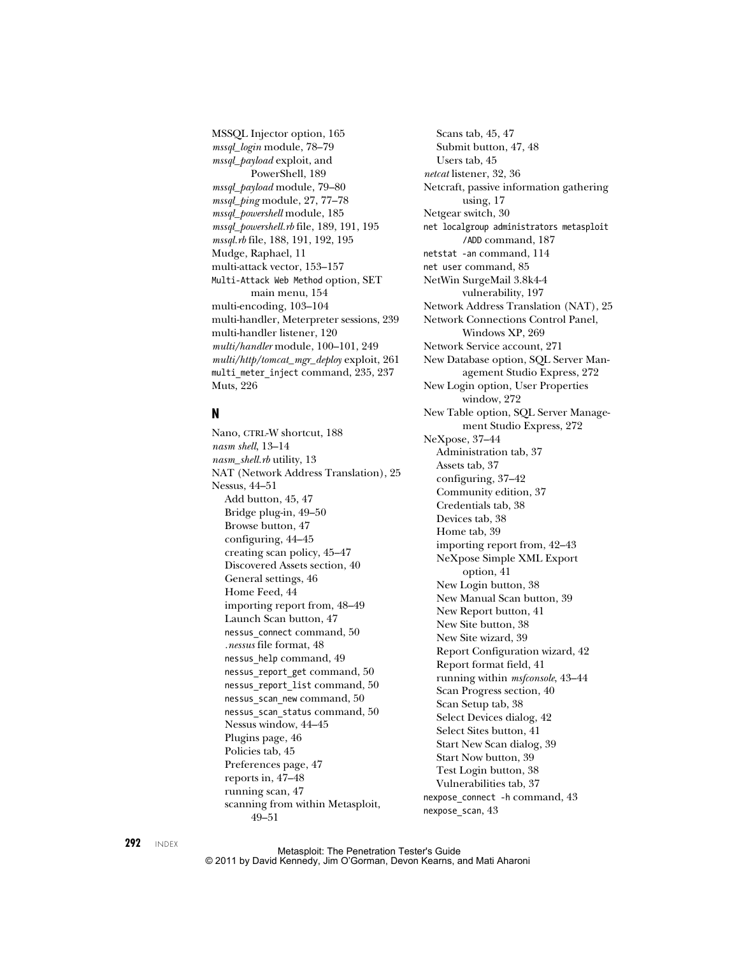MSSQL Injector option, 165 *mssql\_login* module, 78–79 *mssql\_payload* exploit, and PowerShell, 189 *mssql\_payload* module, 79–80 *mssql\_ping* module, 27, 77–78 *mssql\_powershell* module, 185 *mssql\_powershell.rb* file, 189, 191, 195 *mssql.rb* file, 188, 191, 192, 195 Mudge, Raphael, 11 multi-attack vector, 153–157 Multi-Attack Web Method option, SET main menu, 154 multi-encoding, 103–104 multi-handler, Meterpreter sessions, 239 multi-handler listener, 120 *multi/handler* module, 100–101, 249 *multi/http/tomcat\_mgr\_deploy* exploit, 261 multi meter inject command, 235, 237 Muts, 226

#### **N**

Nano, CTRL-W shortcut, 188 *nasm shell*, 13–14 *nasm\_shell.rb* utility, 13 NAT (Network Address Translation), 25 Nessus, 44–51 Add button, 45, 47 Bridge plug-in, 49–50 Browse button, 47 configuring, 44–45 creating scan policy, 45–47 Discovered Assets section, 40 General settings, 46 Home Feed, 44 importing report from, 48–49 Launch Scan button, 47 nessus connect command, 50 *.nessus* file format, 48 nessus\_help command, 49 nessus\_report\_get command, 50 nessus\_report\_list command, 50 nessus\_scan\_new command, 50 nessus\_scan\_status command, 50 Nessus window, 44–45 Plugins page, 46 Policies tab, 45 Preferences page, 47 reports in, 47–48 running scan, 47 scanning from within Metasploit, 49–51

Scans tab, 45, 47 Submit button, 47, 48 Users tab, 45 *netcat* listener, 32, 36 Netcraft, passive information gathering using, 17 Netgear switch, 30 net localgroup administrators metasploit /ADD command, 187 netstat -an command, 114 net user command, 85 NetWin SurgeMail 3.8k4-4 vulnerability, 197 Network Address Translation (NAT), 25 Network Connections Control Panel, Windows XP, 269 Network Service account, 271 New Database option, SQL Server Management Studio Express, 272 New Login option, User Properties window, 272 New Table option, SQL Server Management Studio Express, 272 NeXpose, 37–44 Administration tab, 37 Assets tab, 37 configuring, 37–42 Community edition, 37 Credentials tab, 38 Devices tab, 38 Home tab, 39 importing report from, 42–43 NeXpose Simple XML Export option, 41 New Login button, 38 New Manual Scan button, 39 New Report button, 41 New Site button, 38 New Site wizard, 39 Report Configuration wizard, 42 Report format field, 41 running within *msfconsole*, 43–44 Scan Progress section, 40 Scan Setup tab, 38 Select Devices dialog, 42 Select Sites button, 41 Start New Scan dialog, 39 Start Now button, 39 Test Login button, 38 Vulnerabilities tab, 37 nexpose\_connect -h command, 43 nexpose\_scan, 43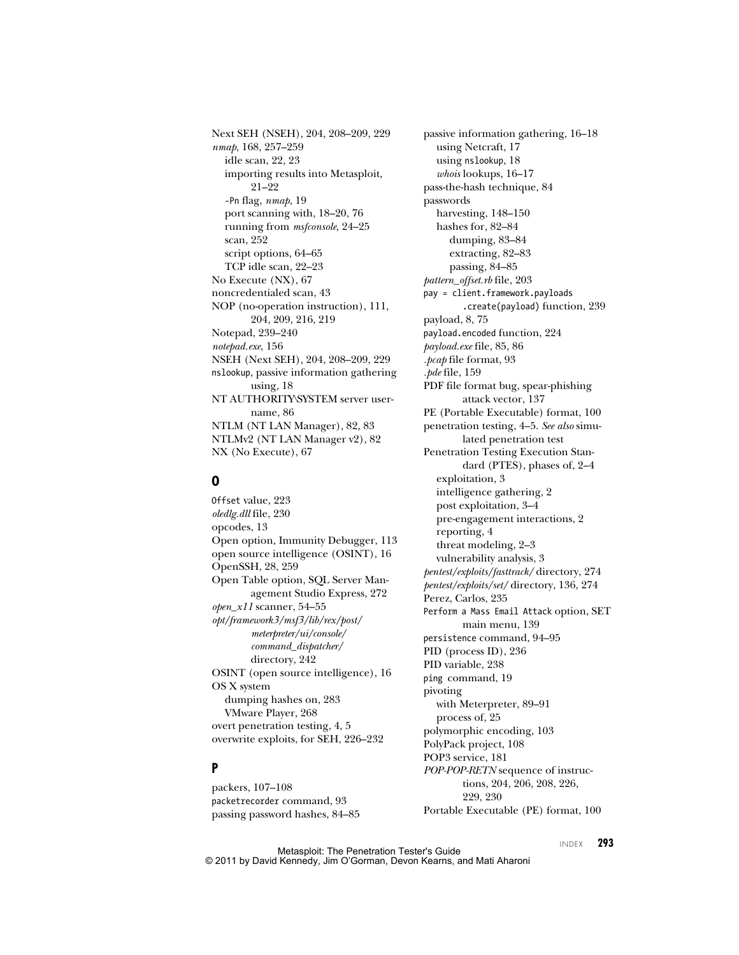Next SEH (NSEH), 204, 208–209, 229 *nmap*, 168, 257–259 idle scan, 22, 23 importing results into Metasploit, 21–22 -Pn flag, *nmap*, 19 port scanning with, 18–20, 76 running from *msfconsole*, 24–25 scan, 252 script options, 64–65 TCP idle scan, 22–23 No Execute (NX), 67 noncredentialed scan, 43 NOP (no-operation instruction), 111, 204, 209, 216, 219 Notepad, 239–240 *notepad.exe*, 156 NSEH (Next SEH), 204, 208–209, 229 nslookup, passive information gathering using, 18 NT AUTHORITY\SYSTEM server username, 86 NTLM (NT LAN Manager), 82, 83 NTLMv2 (NT LAN Manager v2), 82 NX (No Execute), 67

## **O**

Offset value, 223 *oledlg.dll* file, 230 opcodes, 13 Open option, Immunity Debugger, 113 open source intelligence (OSINT), 16 OpenSSH, 28, 259 Open Table option, SQL Server Management Studio Express, 272 *open\_x11* scanner, 54–55 *opt/framework3/msf3/lib/rex/post/ meterpreter/ui/console/ command\_dispatcher/* directory, 242 OSINT (open source intelligence), 16 OS X system dumping hashes on, 283 VMware Player, 268 overt penetration testing, 4, 5 overwrite exploits, for SEH, 226–232

#### **P**

packers, 107–108 packetrecorder command, 93 passing password hashes, 84–85

passive information gathering, 16–18 using Netcraft, 17 using nslookup, 18 *whois* lookups, 16–17 pass-the-hash technique, 84 passwords harvesting, 148–150 hashes for, 82–84 dumping, 83–84 extracting, 82–83 passing, 84–85 *pattern\_offset.rb* file, 203 pay = client.framework.payloads .create(payload) function, 239 payload, 8, 75 payload.encoded function, 224 *payload.exe* file, 85, 86 *.pcap* file format, 93 *.pde* file, 159 PDF file format bug, spear-phishing attack vector, 137 PE (Portable Executable) format, 100 penetration testing, 4–5. *See also* simulated penetration test Penetration Testing Execution Standard (PTES), phases of, 2–4 exploitation, 3 intelligence gathering, 2 post exploitation, 3–4 pre-engagement interactions, 2 reporting, 4 threat modeling, 2–3 vulnerability analysis, 3 *pentest/exploits/fasttrack/* directory, 274 *pentest/exploits/set/* directory, 136, 274 Perez, Carlos, 235 Perform a Mass Email Attack option, SET main menu, 139 persistence command, 94–95 PID (process ID), 236 PID variable, 238 ping command, 19 pivoting with Meterpreter, 89–91 process of, 25 polymorphic encoding, 103 PolyPack project, 108 POP3 service, 181 *POP-POP-RETN* sequence of instructions, 204, 206, 208, 226, 229, 230 Portable Executable (PE) format, 100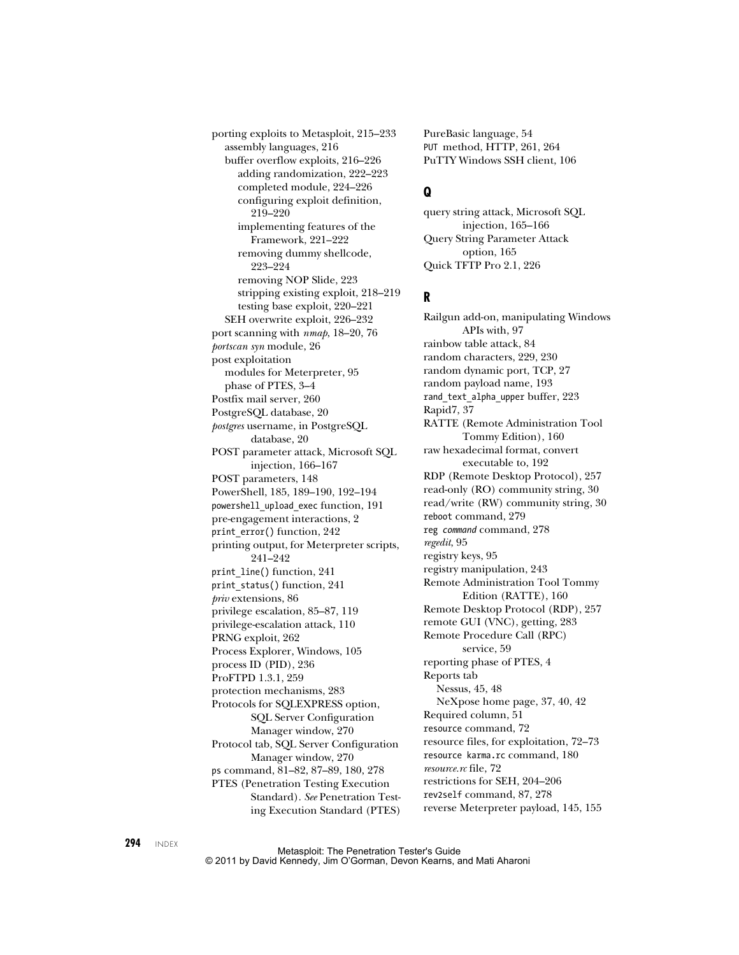porting exploits to Metasploit, 215–233 assembly languages, 216 buffer overflow exploits, 216–226 adding randomization, 222–223 completed module, 224–226 configuring exploit definition, 219–220 implementing features of the Framework, 221–222 removing dummy shellcode, 223–224 removing NOP Slide, 223 stripping existing exploit, 218–219 testing base exploit, 220–221 SEH overwrite exploit, 226–232 port scanning with *nmap*, 18–20, 76 *portscan syn* module, 26 post exploitation modules for Meterpreter, 95 phase of PTES, 3–4 Postfix mail server, 260 PostgreSQL database, 20 *postgres* username, in PostgreSQL database, 20 POST parameter attack, Microsoft SQL injection, 166–167 POST parameters, 148 PowerShell, 185, 189–190, 192–194 powershell\_upload\_exec function, 191 pre-engagement interactions, 2 print\_error() function, 242 printing output, for Meterpreter scripts, 241–242 print\_line() function, 241 print\_status() function, 241 *priv* extensions, 86 privilege escalation, 85–87, 119 privilege-escalation attack, 110 PRNG exploit, 262 Process Explorer, Windows, 105 process ID (PID), 236 ProFTPD 1.3.1, 259 protection mechanisms, 283 Protocols for SQLEXPRESS option, SQL Server Configuration Manager window, 270 Protocol tab, SQL Server Configuration Manager window, 270 ps command, 81–82, 87–89, 180, 278 PTES (Penetration Testing Execution Standard). *See* Penetration Testing Execution Standard (PTES)

PureBasic language, 54 PUT method, HTTP, 261, 264 PuTTY Windows SSH client, 106

### **Q**

query string attack, Microsoft SQL injection, 165–166 Query String Parameter Attack option, 165 Quick TFTP Pro 2.1, 226

## **R**

Railgun add-on, manipulating Windows APIs with, 97 rainbow table attack, 84 random characters, 229, 230 random dynamic port, TCP, 27 random payload name, 193 rand text alpha upper buffer, 223 Rapid7, 37 RATTE (Remote Administration Tool Tommy Edition), 160 raw hexadecimal format, convert executable to, 192 RDP (Remote Desktop Protocol), 257 read-only (RO) community string, 30 read/write (RW) community string, 30 reboot command, 279 reg *command* command, 278 *regedit*, 95 registry keys, 95 registry manipulation, 243 Remote Administration Tool Tommy Edition (RATTE), 160 Remote Desktop Protocol (RDP), 257 remote GUI (VNC), getting, 283 Remote Procedure Call (RPC) service, 59 reporting phase of PTES, 4 Reports tab Nessus, 45, 48 NeXpose home page, 37, 40, 42 Required column, 51 resource command, 72 resource files, for exploitation, 72–73 resource karma.rc command, 180 *resource.rc* file, 72 restrictions for SEH, 204–206 rev2self command, 87, 278 reverse Meterpreter payload, 145, 155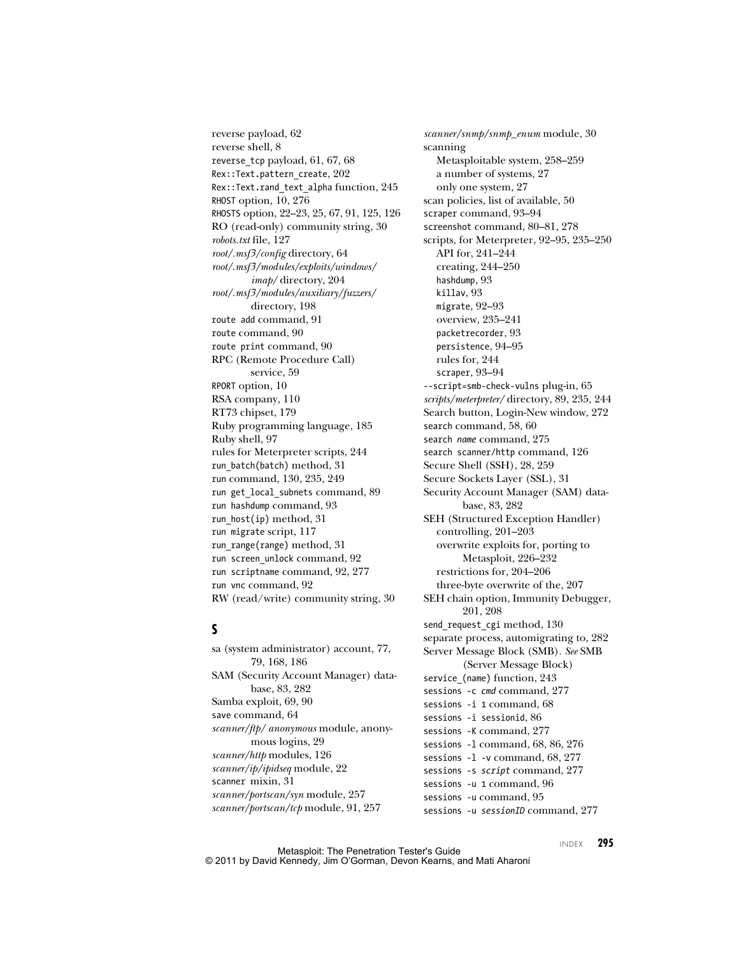reverse payload, 62 reverse shell, 8 reverse\_tcp payload, 61, 67, 68 Rex::Text.pattern\_create, 202 Rex::Text.rand\_text\_alpha function, 245 RHOST option, 10, 276 RHOSTS option, 22–23, 25, 67, 91, 125, 126 RO (read-only) community string, 30 *robots.txt* file, 127 *root/.msf3/config* directory, 64 *root/.msf3/modules/exploits/windows/ imap/* directory, 204 *root/.msf3/modules/auxiliary/fuzzers/* directory, 198 route add command, 91 route command, 90 route print command, 90 RPC (Remote Procedure Call) service, 59 RPORT option, 10 RSA company, 110 RT73 chipset, 179 Ruby programming language, 185 Ruby shell, 97 rules for Meterpreter scripts, 244 run\_batch(batch) method, 31 run command, 130, 235, 249 run get\_local\_subnets command, 89 run hashdump command, 93 run host $(ip)$  method, 31 run migrate script, 117 run\_range(range) method, 31 run screen\_unlock command, 92 run scriptname command, 92, 277 run vnc command, 92 RW (read/write) community string, 30

### **S**

sa (system administrator) account, 77, 79, 168, 186 SAM (Security Account Manager) database, 83, 282 Samba exploit, 69, 90 save command, 64 *scanner/ftp/ anonymous* module, anonymous logins, 29 *scanner/http* modules, 126 *scanner/ip/ipidseq* module, 22 scanner mixin, 31 *scanner/portscan/syn* module, 257 *scanner/portscan/tcp* module, 91, 257

*scanner/snmp/snmp\_enum* module, 30 scanning Metasploitable system, 258–259 a number of systems, 27 only one system, 27 scan policies, list of available, 50 scraper command, 93–94 screenshot command, 80–81, 278 scripts, for Meterpreter, 92–95, 235–250 API for, 241–244 creating, 244–250 hashdump, 93 killav, 93 migrate, 92–93 overview, 235–241 packetrecorder, 93 persistence, 94–95 rules for, 244 scraper, 93–94 --script=smb-check-vulns plug-in, 65 *scripts/meterpreter/* directory, 89, 235, 244 Search button, Login-New window, 272 search command, 58, 60 search *name* command, 275 search scanner/http command, 126 Secure Shell (SSH), 28, 259 Secure Sockets Layer (SSL), 31 Security Account Manager (SAM) database, 83, 282 SEH (Structured Exception Handler) controlling, 201–203 overwrite exploits for, porting to Metasploit, 226–232 restrictions for, 204–206 three-byte overwrite of the, 207 SEH chain option, Immunity Debugger, 201, 208 send\_request\_cgi method, 130 separate process, automigrating to, 282 Server Message Block (SMB). *See* SMB (Server Message Block) service (name) function, 243 sessions -c *cmd* command, 277 sessions -i 1 command, 68 sessions -i sessionid, 86 sessions -K command, 277 sessions -l command, 68, 86, 276 sessions -l -v command, 68, 277 sessions -s *script* command, 277 sessions -u 1 command, 96 sessions -u command, 95 sessions -u *sessionID* command, 277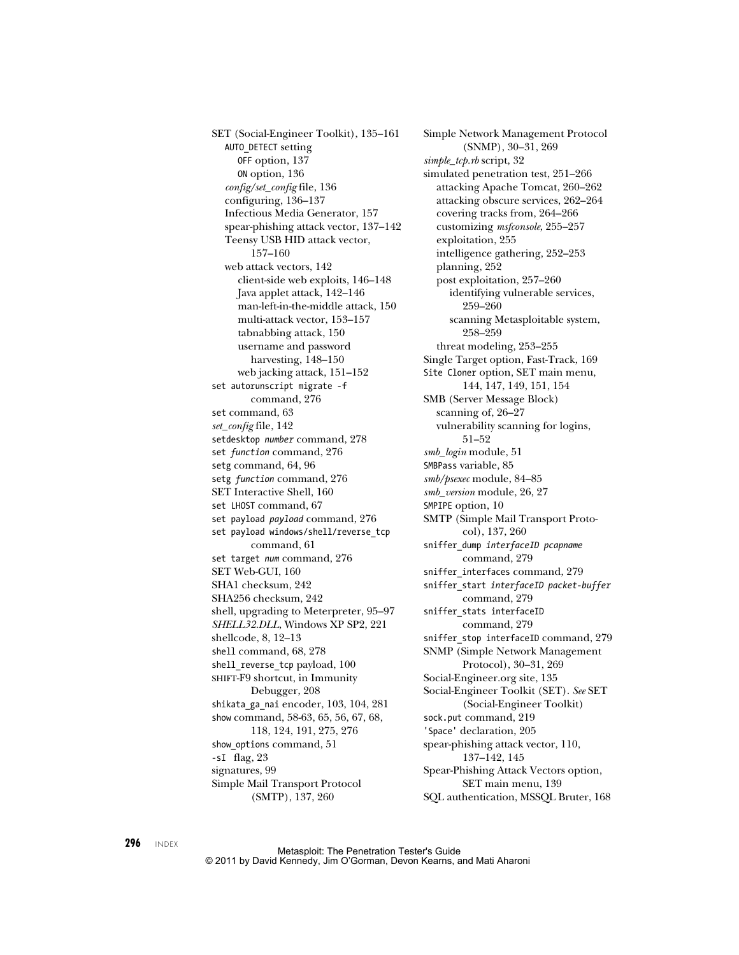SET (Social-Engineer Toolkit), 135–161 AUTO\_DETECT setting OFF option, 137 ON option, 136 *config/set\_config* file, 136 configuring, 136–137 Infectious Media Generator, 157 spear-phishing attack vector, 137–142 Teensy USB HID attack vector, 157–160 web attack vectors, 142 client-side web exploits, 146–148 Java applet attack, 142–146 man-left-in-the-middle attack, 150 multi-attack vector, 153–157 tabnabbing attack, 150 username and password harvesting, 148–150 web jacking attack, 151–152 set autorunscript migrate -f command, 276 set command, 63 *set\_config* file, 142 setdesktop *number* command, 278 set *function* command, 276 setg command, 64, 96 setg *function* command, 276 SET Interactive Shell, 160 set LHOST command, 67 set payload *payload* command, 276 set payload windows/shell/reverse tcp command, 61 set target *num* command, 276 SET Web-GUI, 160 SHA1 checksum, 242 SHA256 checksum, 242 shell, upgrading to Meterpreter, 95–97 *SHELL32.DLL*, Windows XP SP2, 221 shellcode, 8, 12–13 shell command, 68, 278 shell\_reverse\_tcp payload, 100 SHIFT-F9 shortcut, in Immunity Debugger, 208 shikata\_ga\_nai encoder, 103, 104, 281 show command, 58-63, 65, 56, 67, 68, 118, 124, 191, 275, 276 show options command, 51 -sI flag, 23 signatures, 99 Simple Mail Transport Protocol (SMTP), 137, 260

Simple Network Management Protocol (SNMP), 30–31, 269 *simple\_tcp.rb* script, 32 simulated penetration test, 251–266 attacking Apache Tomcat, 260–262 attacking obscure services, 262–264 covering tracks from, 264–266 customizing *msfconsole*, 255–257 exploitation, 255 intelligence gathering, 252–253 planning, 252 post exploitation, 257–260 identifying vulnerable services, 259–260 scanning Metasploitable system, 258–259 threat modeling, 253–255 Single Target option, Fast-Track, 169 Site Cloner option, SET main menu, 144, 147, 149, 151, 154 SMB (Server Message Block) scanning of, 26–27 vulnerability scanning for logins, 51–52 *smb\_login* module, 51 SMBPass variable, 85 *smb/psexec* module, 84–85 *smb\_version* module, 26, 27 SMPIPE option, 10 SMTP (Simple Mail Transport Protocol), 137, 260 sniffer\_dump *interfaceID pcapname* command, 279 sniffer interfaces command, 279 sniffer\_start *interfaceID packet-buffer* command, 279 sniffer stats interfaceID command, 279 sniffer stop interfaceID command, 279 SNMP (Simple Network Management Protocol), 30–31, 269 Social-Engineer.org site, 135 Social-Engineer Toolkit (SET). *See* SET (Social-Engineer Toolkit) sock.put command, 219 'Space' declaration, 205 spear-phishing attack vector, 110, 137–142, 145 Spear-Phishing Attack Vectors option, SET main menu, 139 SQL authentication, MSSQL Bruter, 168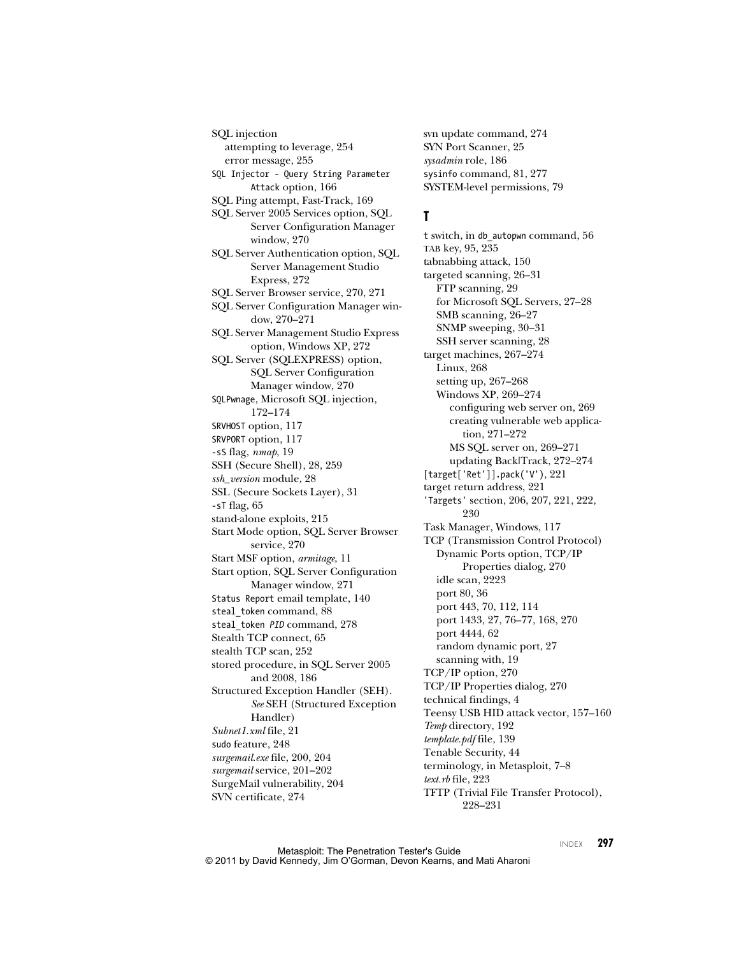SQL injection attempting to leverage, 254 error message, 255 SQL Injector - Query String Parameter Attack option, 166 SQL Ping attempt, Fast-Track, 169 SQL Server 2005 Services option, SQL Server Configuration Manager window, 270 SQL Server Authentication option, SQL Server Management Studio Express, 272 SQL Server Browser service, 270, 271 SQL Server Configuration Manager window, 270–271 SQL Server Management Studio Express option, Windows XP, 272 SQL Server (SQLEXPRESS) option, SQL Server Configuration Manager window, 270 SQLPwnage, Microsoft SQL injection, 172–174 SRVHOST option, 117 SRVPORT option, 117 -sS flag, *nmap*, 19 SSH (Secure Shell), 28, 259 *ssh\_version* module, 28 SSL (Secure Sockets Layer), 31 -sT flag, 65 stand-alone exploits, 215 Start Mode option, SQL Server Browser service, 270 Start MSF option, *armitage*, 11 Start option, SQL Server Configuration Manager window, 271 Status Report email template, 140 steal token command, 88 steal\_token *PID* command, 278 Stealth TCP connect, 65 stealth TCP scan, 252 stored procedure, in SQL Server 2005 and 2008, 186 Structured Exception Handler (SEH). *See* SEH (Structured Exception Handler) *Subnet1.xml* file, 21 sudo feature, 248 *surgemail.exe* file, 200, 204 *surgemail* service, 201–202 SurgeMail vulnerability, 204 SVN certificate, 274

svn update command, 274 SYN Port Scanner, 25 *sysadmin* role, 186 sysinfo command, 81, 277 SYSTEM-level permissions, 79

### **T**

t switch, in db\_autopwn command, 56 TAB key, 95, 235 tabnabbing attack, 150 targeted scanning, 26–31 FTP scanning, 29 for Microsoft SQL Servers, 27–28 SMB scanning, 26–27 SNMP sweeping, 30–31 SSH server scanning, 28 target machines, 267–274 Linux, 268 setting up, 267–268 Windows XP, 269–274 configuring web server on, 269 creating vulnerable web application, 271–272 MS SQL server on, 269–271 updating Back|Track, 272–274 [target['Ret']].pack('V'), 221 target return address, 221 'Targets' section, 206, 207, 221, 222, 230 Task Manager, Windows, 117 TCP (Transmission Control Protocol) Dynamic Ports option, TCP/IP Properties dialog, 270 idle scan, 2223 port 80, 36 port 443, 70, 112, 114 port 1433, 27, 76–77, 168, 270 port 4444, 62 random dynamic port, 27 scanning with, 19 TCP/IP option, 270 TCP/IP Properties dialog, 270 technical findings, 4 Teensy USB HID attack vector, 157–160 *Temp* directory, 192 *template.pdf* file, 139 Tenable Security, 44 terminology, in Metasploit, 7–8 *text.rb* file, 223 TFTP (Trivial File Transfer Protocol), 228–231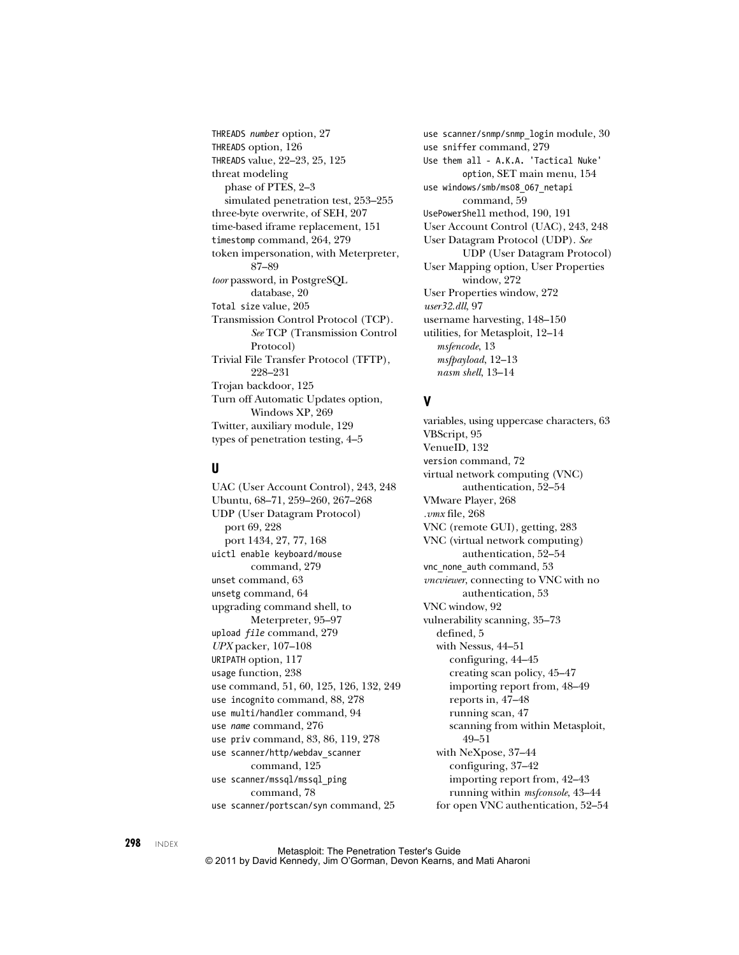THREADS *number* option, 27 THREADS option, 126 THREADS value, 22–23, 25, 125 threat modeling phase of PTES, 2–3 simulated penetration test, 253–255 three-byte overwrite, of SEH, 207 time-based iframe replacement, 151 timestomp command, 264, 279 token impersonation, with Meterpreter, 87–89 *toor* password, in PostgreSQL database, 20 Total size value, 205 Transmission Control Protocol (TCP). *See* TCP (Transmission Control Protocol) Trivial File Transfer Protocol (TFTP), 228–231 Trojan backdoor, 125 Turn off Automatic Updates option, Windows XP, 269 Twitter, auxiliary module, 129 types of penetration testing, 4–5

### **U**

UAC (User Account Control), 243, 248 Ubuntu, 68–71, 259–260, 267–268 UDP (User Datagram Protocol) port 69, 228 port 1434, 27, 77, 168 uictl enable keyboard/mouse command, 279 unset command, 63 unsetg command, 64 upgrading command shell, to Meterpreter, 95–97 upload *file* command, 279 *UPX* packer, 107–108 URIPATH option, 117 usage function, 238 use command, 51, 60, 125, 126, 132, 249 use incognito command, 88, 278 use multi/handler command, 94 use *name* command, 276 use priv command, 83, 86, 119, 278 use scanner/http/webdav scanner command, 125 use scanner/mssql/mssql\_ping command, 78 use scanner/portscan/syn command, 25

use scanner/snmp/snmp login module, 30 use sniffer command, 279 Use them all - A.K.A. 'Tactical Nuke' option, SET main menu, 154 use windows/smb/ms08\_067\_netapi command, 59 UsePowerShell method, 190, 191 User Account Control (UAC), 243, 248 User Datagram Protocol (UDP). *See* UDP (User Datagram Protocol) User Mapping option, User Properties window, 272 User Properties window, 272 *user32.dll*, 97 username harvesting, 148–150 utilities, for Metasploit, 12–14 *msfencode*, 13 *msfpayload*, 12–13 *nasm shell*, 13–14

## **V**

variables, using uppercase characters, 63 VBScript, 95 VenueID, 132 version command, 72 virtual network computing (VNC) authentication, 52–54 VMware Player, 268 *.vmx* file, 268 VNC (remote GUI), getting, 283 VNC (virtual network computing) authentication, 52–54 vnc\_none\_auth command, 53 *vncviewer*, connecting to VNC with no authentication, 53 VNC window, 92 vulnerability scanning, 35–73 defined, 5 with Nessus, 44–51 configuring, 44–45 creating scan policy, 45–47 importing report from, 48–49 reports in, 47–48 running scan, 47 scanning from within Metasploit, 49–51 with NeXpose, 37–44 configuring, 37–42 importing report from, 42–43 running within *msfconsole*, 43–44 for open VNC authentication, 52–54